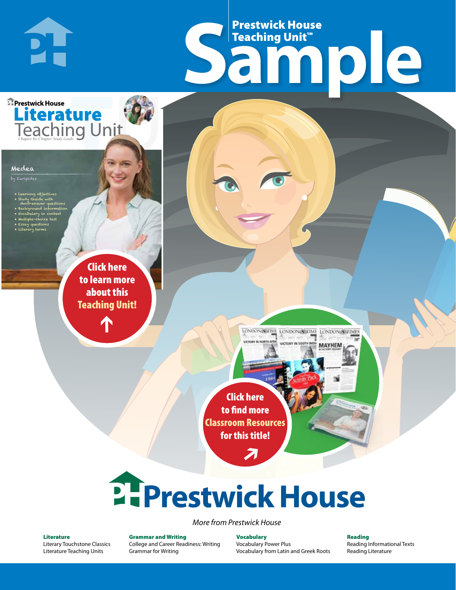# Frestwick House<br>
Sample Prestwick House Teaching Unit™

LONDON-SCITME LONDON/SCITME LONDON/SCITMES

**MAYHEM** 

**Literature**<br>Teaching Unit

**PH** 

**A Tale of Two Cities**

CHARLES DICKENS

#### Medea

by Euripides

• Learning objectives

**Prestwick House** 

- Study Guide with short-answer questions
- Background information • Vocabulary in context
- Multiple-choice test
- Essay questions • Literary terms

r e o r d e r n o . x x x x x x Click here to learn more about this [Teaching Unit!](https://www.prestwickhouse.com/pdf/id-201090/Medea_-_Downloadable_Teaching_Unit)

 $\mathbf{T}$ 

1

Click here to find more [Classroom Resources](http://teaching-english.prestwickhouse.com/search#w=medea)  for this title!

 $\overline{\boldsymbol{\lambda}}$ 

# 2. Prestwick House

#### *More from Prestwick House*

#### Literature

[Literary Touchstone Classics](https://www.prestwickhouse.com/literary-touchstone-classics) [Literature Teaching Units](https://www.prestwickhouse.com/teaching-units)

Grammar and Writing [College and Career Readiness: Writing](https://www.prestwickhouse.com/college-and-career-readiness-writing) [Grammar for Writing](https://www.prestwickhouse.com/book/id-302639/Grammar_for_Writing_-_30_Books_and_Teachers_Edition)

**Vocabulary** [Vocabulary Power Plus](https://www.prestwickhouse.com/vocabulary-power-plus-for-college-and-career-readiness) [Vocabulary from Latin and Greek Roots](https://www.prestwickhouse.com/vocabulary-from-latin-and-greek-roots) Reading

[Reading Informational Texts](https://www.prestwickhouse.com/reading-informational-texts) [Reading Literature](https://www.prestwickhouse.com/reading-literature)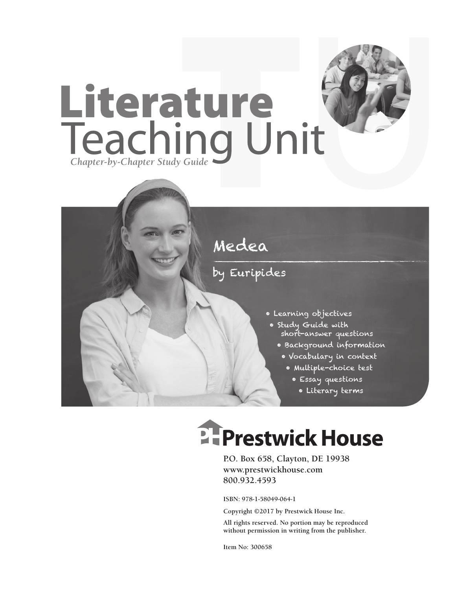



### by Euripides

- Learning objectives
	- Study Guide with short-answer questions
		- Background information
		- Vocabulary in context
			- Multiple-choice test
				- Essay questions
					- Literary terms

# **EFPrestwick House**

**P.O. Box 658, Clayton, DE 19938 www.prestwickhouse.com 800.932.4593**

**ISBN: 978-1-58049-064-1**

**Copyright ©2017 by Prestwick House Inc.**

**All rights reserved. No portion may be reproduced without permission in writing from the publisher.** 

**Item No: 300658**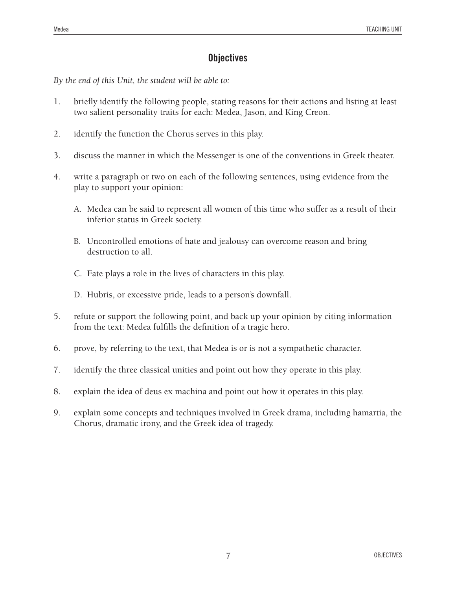### **Objectives**

*By the end of this Unit, the student will be able to:*

- 1. briefly identify the following people, stating reasons for their actions and listing at least two salient personality traits for each: Medea, Jason, and King Creon.
- 2. identify the function the Chorus serves in this play.
- 3. discuss the manner in which the Messenger is one of the conventions in Greek theater.
- 4. write a paragraph or two on each of the following sentences, using evidence from the play to support your opinion:
	- A. Medea can be said to represent all women of this time who suffer as a result of their inferior status in Greek society.
	- B. Uncontrolled emotions of hate and jealousy can overcome reason and bring destruction to all.
	- C. Fate plays a role in the lives of characters in this play.
	- D. Hubris, or excessive pride, leads to a person's downfall.
- 5. refute or support the following point, and back up your opinion by citing information from the text: Medea fulfills the definition of a tragic hero.
- 6. prove, by referring to the text, that Medea is or is not a sympathetic character.
- 7. identify the three classical unities and point out how they operate in this play.
- 8. explain the idea of deus ex machina and point out how it operates in this play.
- 9. explain some concepts and techniques involved in Greek drama, including hamartia, the Chorus, dramatic irony, and the Greek idea of tragedy.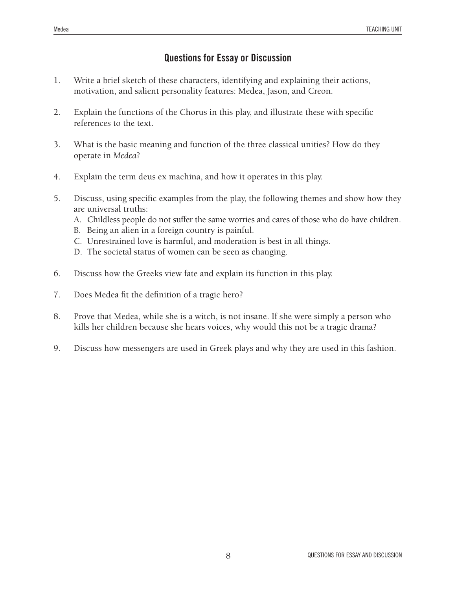## **Questions for Essay or Discussion**

- 1. Write a brief sketch of these characters, identifying and explaining their actions, motivation, and salient personality features: Medea, Jason, and Creon.
- 2. Explain the functions of the Chorus in this play, and illustrate these with specific references to the text.
- 3. What is the basic meaning and function of the three classical unities? How do they operate in *Medea*?
- 4. Explain the term deus ex machina, and how it operates in this play.
- 5. Discuss, using specific examples from the play, the following themes and show how they are universal truths:
	- A. Childless people do not suffer the same worries and cares of those who do have children.
	- B. Being an alien in a foreign country is painful.
	- C. Unrestrained love is harmful, and moderation is best in all things.
	- D. The societal status of women can be seen as changing.
- 6. Discuss how the Greeks view fate and explain its function in this play.
- 7. Does Medea fit the definition of a tragic hero?
- 8. Prove that Medea, while she is a witch, is not insane. If she were simply a person who kills her children because she hears voices, why would this not be a tragic drama?
- 9. Discuss how messengers are used in Greek plays and why they are used in this fashion.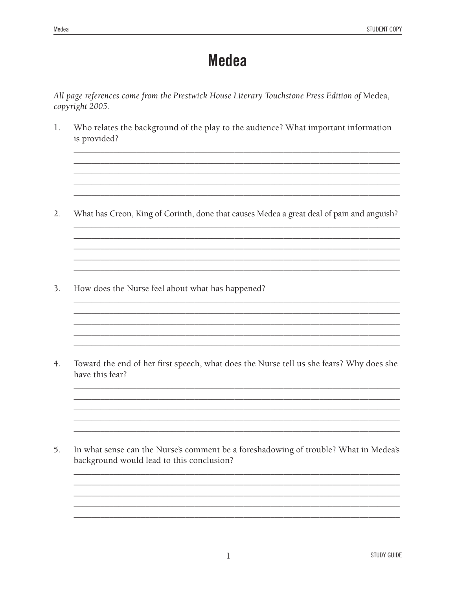## **Medea**

All page references come from the Prestwick House Literary Touchstone Press Edition of Medea, copyright 2005.

1. Who relates the background of the play to the audience? What important information is provided?

 $2.$ What has Creon, King of Corinth, done that causes Medea a great deal of pain and anguish?

3. How does the Nurse feel about what has happened?

 $4.$ Toward the end of her first speech, what does the Nurse tell us she fears? Why does she have this fear?

5. In what sense can the Nurse's comment be a foreshadowing of trouble? What in Medea's background would lead to this conclusion?

<u> 1989 - Johann Barn, mars eta bainar eta industrial eta industrial eta industrial eta industrial eta industria</u>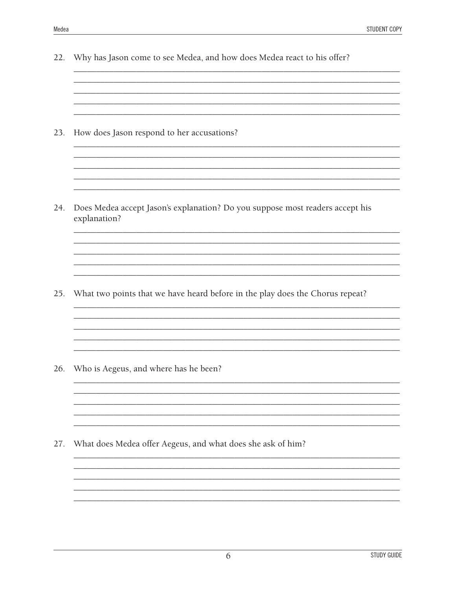| 22. | Why has Jason come to see Medea, and how does Medea react to his offer?                       |
|-----|-----------------------------------------------------------------------------------------------|
|     |                                                                                               |
|     |                                                                                               |
|     |                                                                                               |
| 23. | How does Jason respond to her accusations?                                                    |
|     |                                                                                               |
|     |                                                                                               |
|     |                                                                                               |
|     |                                                                                               |
| 24. | Does Medea accept Jason's explanation? Do you suppose most readers accept his<br>explanation? |
|     |                                                                                               |
|     |                                                                                               |
|     |                                                                                               |
|     |                                                                                               |
| 25. | What two points that we have heard before in the play does the Chorus repeat?                 |
|     |                                                                                               |
|     |                                                                                               |
|     |                                                                                               |
|     |                                                                                               |
| 26. | Who is Aegeus, and where has he been?                                                         |
|     |                                                                                               |
|     |                                                                                               |
|     |                                                                                               |
|     |                                                                                               |
| 27. | What does Medea offer Aegeus, and what does she ask of him?                                   |
|     |                                                                                               |
|     |                                                                                               |
|     |                                                                                               |
|     |                                                                                               |
|     |                                                                                               |